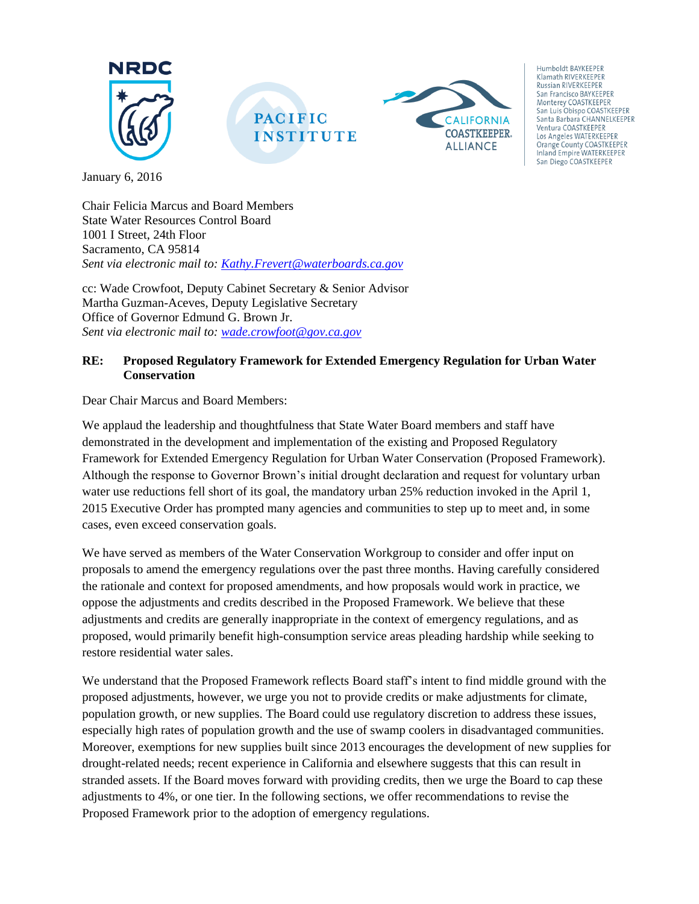

January 6, 2016

Chair Felicia Marcus and Board Members State Water Resources Control Board 1001 I Street, 24th Floor Sacramento, CA 95814 *Sent via electronic mail to: [Kathy.Frevert@waterboards.ca.gov](mailto:Kathy.Frevert@waterboards.ca.gov)*

cc: Wade Crowfoot, Deputy Cabinet Secretary & Senior Advisor Martha Guzman-Aceves, Deputy Legislative Secretary Office of Governor Edmund G. Brown Jr. *Sent via electronic mail to: [wade.crowfoot@gov.ca.gov](mailto:wade.crowfoot@gov.ca.gov)*

#### **RE: Proposed Regulatory Framework for Extended Emergency Regulation for Urban Water Conservation**

Dear Chair Marcus and Board Members:

We applaud the leadership and thoughtfulness that State Water Board members and staff have demonstrated in the development and implementation of the existing and Proposed Regulatory Framework for Extended Emergency Regulation for Urban Water Conservation (Proposed Framework). Although the response to Governor Brown's initial drought declaration and request for voluntary urban water use reductions fell short of its goal, the mandatory urban 25% reduction invoked in the April 1, 2015 Executive Order has prompted many agencies and communities to step up to meet and, in some cases, even exceed conservation goals.

We have served as members of the Water Conservation Workgroup to consider and offer input on proposals to amend the emergency regulations over the past three months. Having carefully considered the rationale and context for proposed amendments, and how proposals would work in practice, we oppose the adjustments and credits described in the Proposed Framework. We believe that these adjustments and credits are generally inappropriate in the context of emergency regulations, and as proposed, would primarily benefit high-consumption service areas pleading hardship while seeking to restore residential water sales.

We understand that the Proposed Framework reflects Board staff's intent to find middle ground with the proposed adjustments, however, we urge you not to provide credits or make adjustments for climate, population growth, or new supplies. The Board could use regulatory discretion to address these issues, especially high rates of population growth and the use of swamp coolers in disadvantaged communities. Moreover, exemptions for new supplies built since 2013 encourages the development of new supplies for drought-related needs; recent experience in California and elsewhere suggests that this can result in stranded assets. If the Board moves forward with providing credits, then we urge the Board to cap these adjustments to 4%, or one tier. In the following sections, we offer recommendations to revise the Proposed Framework prior to the adoption of emergency regulations.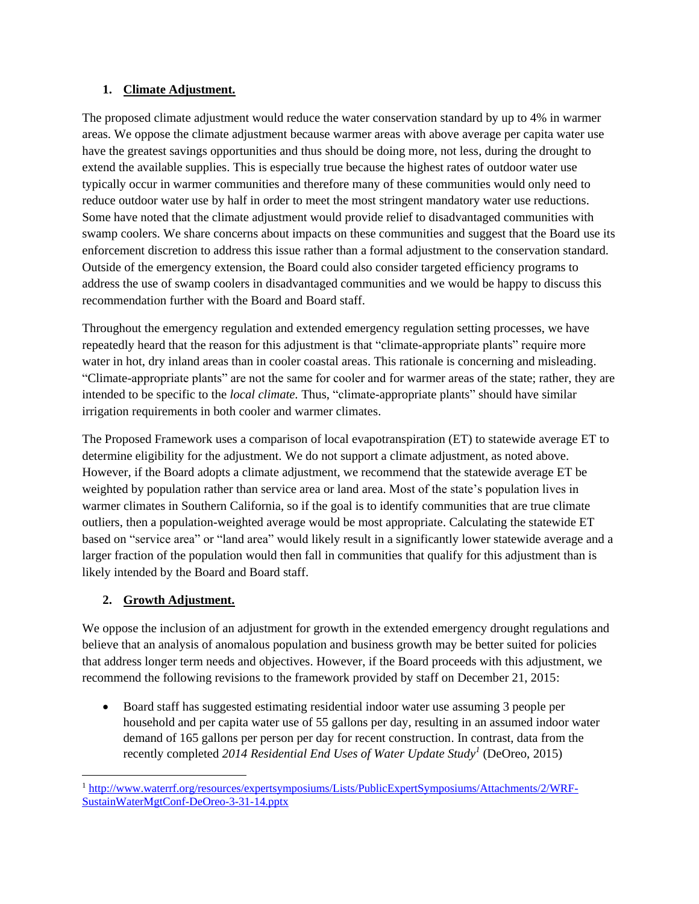#### **1. Climate Adjustment.**

The proposed climate adjustment would reduce the water conservation standard by up to 4% in warmer areas. We oppose the climate adjustment because warmer areas with above average per capita water use have the greatest savings opportunities and thus should be doing more, not less, during the drought to extend the available supplies. This is especially true because the highest rates of outdoor water use typically occur in warmer communities and therefore many of these communities would only need to reduce outdoor water use by half in order to meet the most stringent mandatory water use reductions. Some have noted that the climate adjustment would provide relief to disadvantaged communities with swamp coolers. We share concerns about impacts on these communities and suggest that the Board use its enforcement discretion to address this issue rather than a formal adjustment to the conservation standard. Outside of the emergency extension, the Board could also consider targeted efficiency programs to address the use of swamp coolers in disadvantaged communities and we would be happy to discuss this recommendation further with the Board and Board staff.

Throughout the emergency regulation and extended emergency regulation setting processes, we have repeatedly heard that the reason for this adjustment is that "climate-appropriate plants" require more water in hot, dry inland areas than in cooler coastal areas. This rationale is concerning and misleading. "Climate-appropriate plants" are not the same for cooler and for warmer areas of the state; rather, they are intended to be specific to the *local climate.* Thus, "climate-appropriate plants" should have similar irrigation requirements in both cooler and warmer climates.

The Proposed Framework uses a comparison of local evapotranspiration (ET) to statewide average ET to determine eligibility for the adjustment. We do not support a climate adjustment, as noted above. However, if the Board adopts a climate adjustment, we recommend that the statewide average ET be weighted by population rather than service area or land area. Most of the state's population lives in warmer climates in Southern California, so if the goal is to identify communities that are true climate outliers, then a population-weighted average would be most appropriate. Calculating the statewide ET based on "service area" or "land area" would likely result in a significantly lower statewide average and a larger fraction of the population would then fall in communities that qualify for this adjustment than is likely intended by the Board and Board staff.

# **2. Growth Adjustment.**

We oppose the inclusion of an adjustment for growth in the extended emergency drought regulations and believe that an analysis of anomalous population and business growth may be better suited for policies that address longer term needs and objectives. However, if the Board proceeds with this adjustment, we recommend the following revisions to the framework provided by staff on December 21, 2015:

 Board staff has suggested estimating residential indoor water use assuming 3 people per household and per capita water use of 55 gallons per day, resulting in an assumed indoor water demand of 165 gallons per person per day for recent construction. In contrast, data from the recently completed *2014 Residential End Uses of Water Update Study<sup>1</sup>* (DeOreo, 2015)

 $\overline{\phantom{a}}$ <sup>1</sup> [http://www.waterrf.org/resources/expertsymposiums/Lists/PublicExpertSymposiums/Attachments/2/WRF-](http://www.waterrf.org/resources/expertsymposiums/Lists/PublicExpertSymposiums/Attachments/2/WRF-SustainWaterMgtConf-DeOreo-3-31-14.pptx)[SustainWaterMgtConf-DeOreo-3-31-14.pptx](http://www.waterrf.org/resources/expertsymposiums/Lists/PublicExpertSymposiums/Attachments/2/WRF-SustainWaterMgtConf-DeOreo-3-31-14.pptx)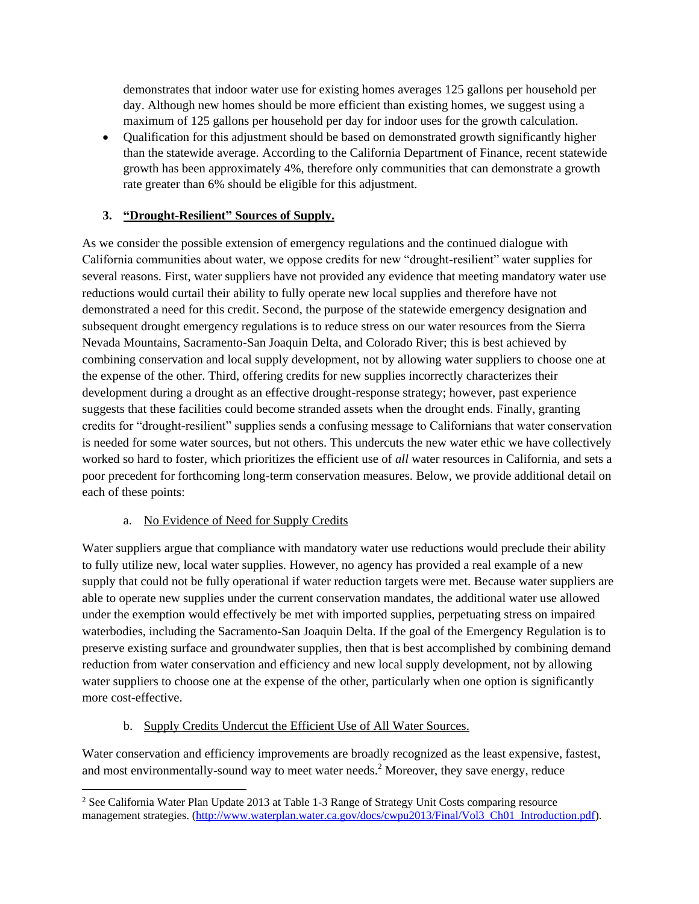demonstrates that indoor water use for existing homes averages 125 gallons per household per day. Although new homes should be more efficient than existing homes, we suggest using a maximum of 125 gallons per household per day for indoor uses for the growth calculation.

 Qualification for this adjustment should be based on demonstrated growth significantly higher than the statewide average. According to the California Department of Finance, recent statewide growth has been approximately 4%, therefore only communities that can demonstrate a growth rate greater than 6% should be eligible for this adjustment.

## **3. "Drought-Resilient" Sources of Supply.**

As we consider the possible extension of emergency regulations and the continued dialogue with California communities about water, we oppose credits for new "drought-resilient" water supplies for several reasons. First, water suppliers have not provided any evidence that meeting mandatory water use reductions would curtail their ability to fully operate new local supplies and therefore have not demonstrated a need for this credit. Second, the purpose of the statewide emergency designation and subsequent drought emergency regulations is to reduce stress on our water resources from the Sierra Nevada Mountains, Sacramento-San Joaquin Delta, and Colorado River; this is best achieved by combining conservation and local supply development, not by allowing water suppliers to choose one at the expense of the other. Third, offering credits for new supplies incorrectly characterizes their development during a drought as an effective drought-response strategy; however, past experience suggests that these facilities could become stranded assets when the drought ends. Finally, granting credits for "drought-resilient" supplies sends a confusing message to Californians that water conservation is needed for some water sources, but not others. This undercuts the new water ethic we have collectively worked so hard to foster, which prioritizes the efficient use of *all* water resources in California, and sets a poor precedent for forthcoming long-term conservation measures. Below, we provide additional detail on each of these points:

## a. No Evidence of Need for Supply Credits

 $\overline{a}$ 

Water suppliers argue that compliance with mandatory water use reductions would preclude their ability to fully utilize new, local water supplies. However, no agency has provided a real example of a new supply that could not be fully operational if water reduction targets were met. Because water suppliers are able to operate new supplies under the current conservation mandates, the additional water use allowed under the exemption would effectively be met with imported supplies, perpetuating stress on impaired waterbodies, including the Sacramento-San Joaquin Delta. If the goal of the Emergency Regulation is to preserve existing surface and groundwater supplies, then that is best accomplished by combining demand reduction from water conservation and efficiency and new local supply development, not by allowing water suppliers to choose one at the expense of the other, particularly when one option is significantly more cost-effective.

## b. Supply Credits Undercut the Efficient Use of All Water Sources.

Water conservation and efficiency improvements are broadly recognized as the least expensive, fastest, and most environmentally-sound way to meet water needs.<sup>2</sup> Moreover, they save energy, reduce

<sup>&</sup>lt;sup>2</sup> See California Water Plan Update 2013 at Table 1-3 Range of Strategy Unit Costs comparing resource management strategies. [\(http://www.waterplan.water.ca.gov/docs/cwpu2013/Final/Vol3\\_Ch01\\_Introduction.pdf\)](http://www.waterplan.water.ca.gov/docs/cwpu2013/Final/Vol3_Ch01_Introduction.pdf).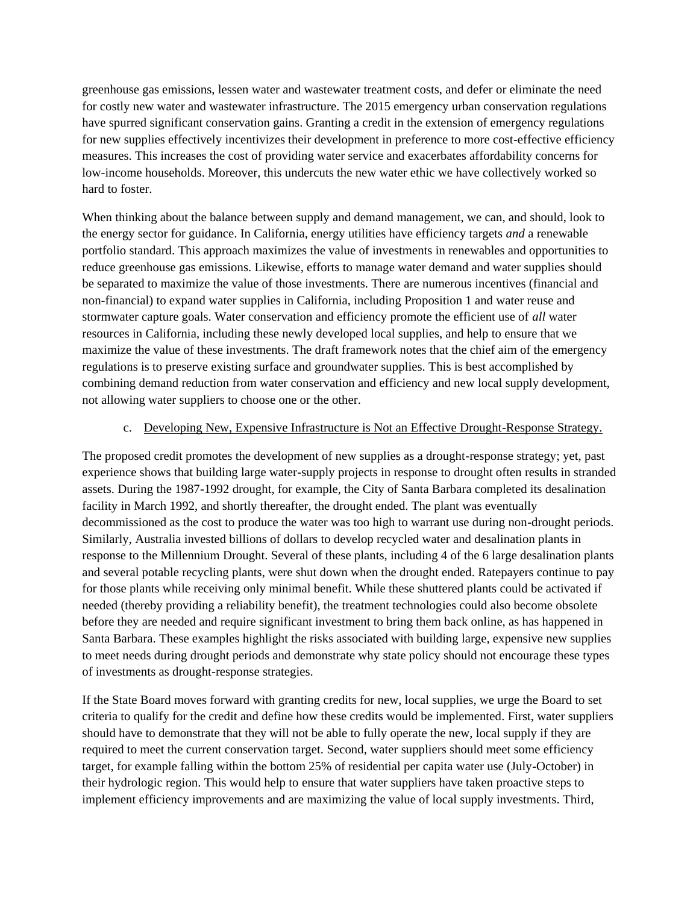greenhouse gas emissions, lessen water and wastewater treatment costs, and defer or eliminate the need for costly new water and wastewater infrastructure. The 2015 emergency urban conservation regulations have spurred significant conservation gains. Granting a credit in the extension of emergency regulations for new supplies effectively incentivizes their development in preference to more cost-effective efficiency measures. This increases the cost of providing water service and exacerbates affordability concerns for low-income households. Moreover, this undercuts the new water ethic we have collectively worked so hard to foster.

When thinking about the balance between supply and demand management, we can, and should, look to the energy sector for guidance. In California, energy utilities have efficiency targets *and* a renewable portfolio standard. This approach maximizes the value of investments in renewables and opportunities to reduce greenhouse gas emissions. Likewise, efforts to manage water demand and water supplies should be separated to maximize the value of those investments. There are numerous incentives (financial and non-financial) to expand water supplies in California, including Proposition 1 and water reuse and stormwater capture goals. Water conservation and efficiency promote the efficient use of *all* water resources in California, including these newly developed local supplies, and help to ensure that we maximize the value of these investments. The draft framework notes that the chief aim of the emergency regulations is to preserve existing surface and groundwater supplies. This is best accomplished by combining demand reduction from water conservation and efficiency and new local supply development, not allowing water suppliers to choose one or the other.

#### c. Developing New, Expensive Infrastructure is Not an Effective Drought-Response Strategy.

The proposed credit promotes the development of new supplies as a drought-response strategy; yet, past experience shows that building large water-supply projects in response to drought often results in stranded assets. During the 1987-1992 drought, for example, the City of Santa Barbara completed its desalination facility in March 1992, and shortly thereafter, the drought ended. The plant was eventually decommissioned as the cost to produce the water was too high to warrant use during non-drought periods. Similarly, Australia invested billions of dollars to develop recycled water and desalination plants in response to the Millennium Drought. Several of these plants, including 4 of the 6 large desalination plants and several potable recycling plants, were shut down when the drought ended. Ratepayers continue to pay for those plants while receiving only minimal benefit. While these shuttered plants could be activated if needed (thereby providing a reliability benefit), the treatment technologies could also become obsolete before they are needed and require significant investment to bring them back online, as has happened in Santa Barbara. These examples highlight the risks associated with building large, expensive new supplies to meet needs during drought periods and demonstrate why state policy should not encourage these types of investments as drought-response strategies.

If the State Board moves forward with granting credits for new, local supplies, we urge the Board to set criteria to qualify for the credit and define how these credits would be implemented. First, water suppliers should have to demonstrate that they will not be able to fully operate the new, local supply if they are required to meet the current conservation target. Second, water suppliers should meet some efficiency target, for example falling within the bottom 25% of residential per capita water use (July-October) in their hydrologic region. This would help to ensure that water suppliers have taken proactive steps to implement efficiency improvements and are maximizing the value of local supply investments. Third,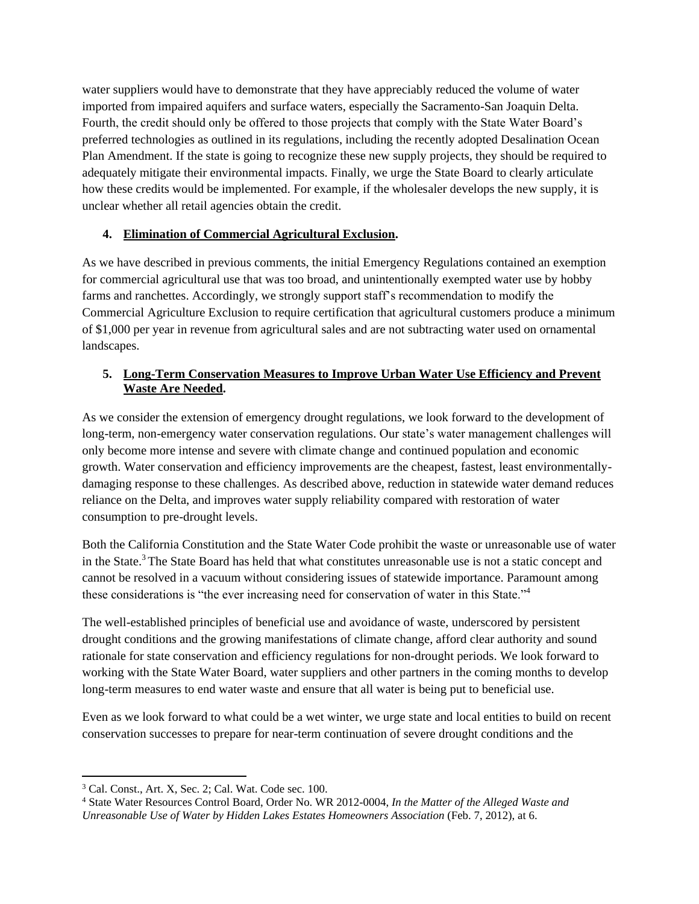water suppliers would have to demonstrate that they have appreciably reduced the volume of water imported from impaired aquifers and surface waters, especially the Sacramento-San Joaquin Delta. Fourth, the credit should only be offered to those projects that comply with the State Water Board's preferred technologies as outlined in its regulations, including the recently adopted Desalination Ocean Plan Amendment. If the state is going to recognize these new supply projects, they should be required to adequately mitigate their environmental impacts. Finally, we urge the State Board to clearly articulate how these credits would be implemented. For example, if the wholesaler develops the new supply, it is unclear whether all retail agencies obtain the credit.

# **4. Elimination of Commercial Agricultural Exclusion.**

As we have described in previous comments, the initial Emergency Regulations contained an exemption for commercial agricultural use that was too broad, and unintentionally exempted water use by hobby farms and ranchettes. Accordingly, we strongly support staff's recommendation to modify the Commercial Agriculture Exclusion to require certification that agricultural customers produce a minimum of \$1,000 per year in revenue from agricultural sales and are not subtracting water used on ornamental landscapes.

## **5. Long-Term Conservation Measures to Improve Urban Water Use Efficiency and Prevent Waste Are Needed.**

As we consider the extension of emergency drought regulations, we look forward to the development of long-term, non-emergency water conservation regulations. Our state's water management challenges will only become more intense and severe with climate change and continued population and economic growth. Water conservation and efficiency improvements are the cheapest, fastest, least environmentallydamaging response to these challenges. As described above, reduction in statewide water demand reduces reliance on the Delta, and improves water supply reliability compared with restoration of water consumption to pre-drought levels.

Both the California Constitution and the State Water Code prohibit the waste or unreasonable use of water in the State.<sup>3</sup> The State Board has held that what constitutes unreasonable use is not a static concept and cannot be resolved in a vacuum without considering issues of statewide importance. Paramount among these considerations is "the ever increasing need for conservation of water in this State."<sup>4</sup>

The well-established principles of beneficial use and avoidance of waste, underscored by persistent drought conditions and the growing manifestations of climate change, afford clear authority and sound rationale for state conservation and efficiency regulations for non-drought periods. We look forward to working with the State Water Board, water suppliers and other partners in the coming months to develop long-term measures to end water waste and ensure that all water is being put to beneficial use.

Even as we look forward to what could be a wet winter, we urge state and local entities to build on recent conservation successes to prepare for near-term continuation of severe drought conditions and the

 $\overline{\phantom{a}}$ 

<sup>3</sup> Cal. Const., Art. X, Sec. 2; Cal. Wat. Code sec. 100.

<sup>4</sup> State Water Resources Control Board, Order No. WR 2012-0004, *In the Matter of the Alleged Waste and Unreasonable Use of Water by Hidden Lakes Estates Homeowners Association* (Feb. 7, 2012), at 6.